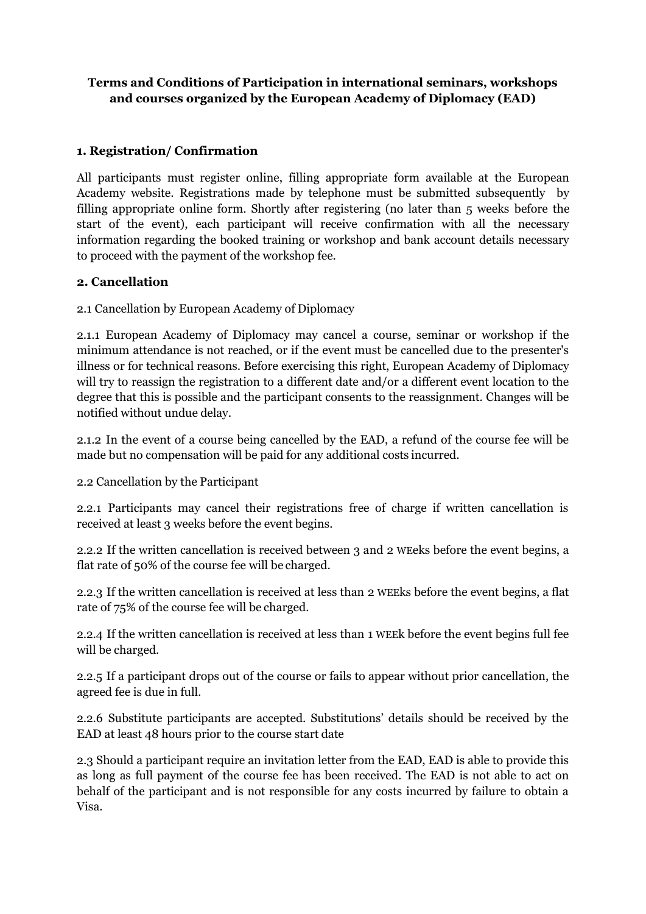# **Terms and Conditions of Participation in international seminars, workshops and courses organized by the European Academy of Diplomacy (EAD)**

## **1. Registration/ Confirmation**

All participants must register online, filling appropriate form available at the European Academy website. Registrations made by telephone must be submitted subsequently by filling appropriate online form. Shortly after registering (no later than 5 weeks before the start of the event), each participant will receive confirmation with all the necessary information regarding the booked training or workshop and bank account details necessary to proceed with the payment of the workshop fee.

## **2. Cancellation**

2.1 Cancellation by European Academy of Diplomacy

2.1.1 European Academy of Diplomacy may cancel a course, seminar or workshop if the minimum attendance is not reached, or if the event must be cancelled due to the presenter's illness or for technical reasons. Before exercising this right, European Academy of Diplomacy will try to reassign the registration to a different date and/or a different event location to the degree that this is possible and the participant consents to the reassignment. Changes will be notified without undue delay.

2.1.2 In the event of a course being cancelled by the EAD, a refund of the course fee will be made but no compensation will be paid for any additional costs incurred.

2.2 Cancellation by the Participant

2.2.1 Participants may cancel their registrations free of charge if written cancellation is received at least 3 weeks before the event begins.

2.2.2 If the written cancellation is received between 3 and 2 WEeks before the event begins, a flat rate of 50% of the course fee will be charged.

2.2.3 If the written cancellation is received at less than 2 WEEks before the event begins, a flat rate of 75% of the course fee will be charged.

2.2.4 If the written cancellation is received at less than 1 WEEk before the event begins full fee will be charged.

2.2.5 If a participant drops out of the course or fails to appear without prior cancellation, the agreed fee is due in full.

2.2.6 Substitute participants are accepted. Substitutions' details should be received by the EAD at least 48 hours prior to the course start date

2.3 Should a participant require an invitation letter from the EAD, EAD is able to provide this as long as full payment of the course fee has been received. The EAD is not able to act on behalf of the participant and is not responsible for any costs incurred by failure to obtain a Visa.